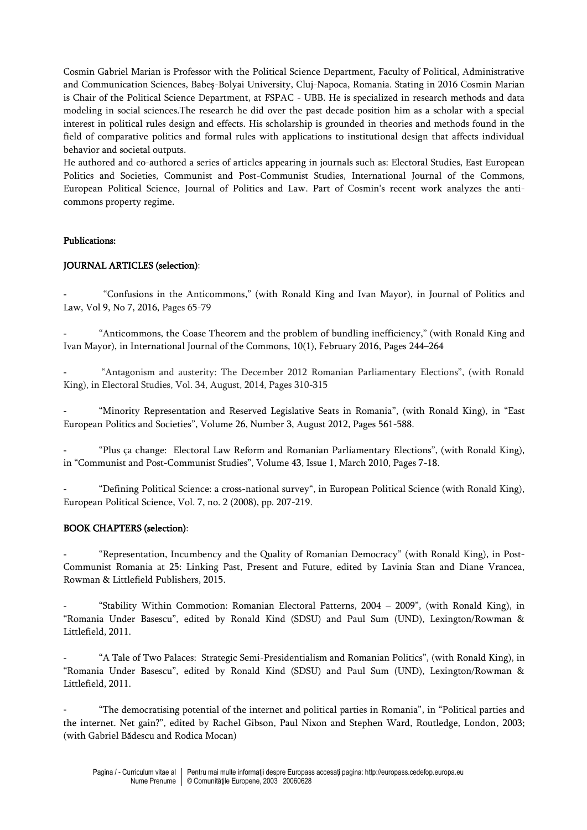Cosmin Gabriel Marian is Professor with the Political Science Department, Faculty of Political, Administrative and Communication Sciences, Babeş-Bolyai University, Cluj-Napoca, Romania. Stating in 2016 Cosmin Marian is Chair of the Political Science Department, at FSPAC - UBB. He is specialized in research methods and data modeling in social sciences.The research he did over the past decade position him as a scholar with a special interest in political rules design and effects. His scholarship is grounded in theories and methods found in the field of comparative politics and formal rules with applications to institutional design that affects individual behavior and societal outputs.

He authored and co-authored a series of articles appearing in journals such as: Electoral Studies, East European Politics and Societies, Communist and Post-Communist Studies, International Journal of the Commons, European Political Science, Journal of Politics and Law. Part of Cosmin's recent work analyzes the anticommons property regime.

# Publications:

# JOURNAL ARTICLES (selection):

- "Confusions in the Anticommons," (with Ronald King and Ivan Mayor), in Journal of Politics and Law, Vol 9, No 7, 2016, Pages 65-79

- "Anticommons, the Coase Theorem and the problem of bundling inefficiency," (with Ronald King and Ivan Mayor), in International Journal of the Commons, 10(1), February 2016, Pages 244–264

"Antagonism and austerity: The December 2012 Romanian Parliamentary Elections", (with Ronald King), in Electoral Studies, Vol. 34, August, 2014, Pages 310-315

"Minority Representation and Reserved Legislative Seats in Romania", (with Ronald King), in "East European Politics and Societies", Volume 26, Number 3, August 2012, Pages 561-588.

- "Plus ça change: Electoral Law Reform and Romanian Parliamentary Elections", (with Ronald King), in "Communist and Post-Communist Studies", Volume 43, Issue 1, March 2010, Pages 7-18.

- "Defining Political Science: a cross-national survey", in European Political Science (with Ronald King), European Political Science, Vol. 7, no. 2 (2008), pp. 207-219.

#### BOOK CHAPTERS (selection):

"Representation, Incumbency and the Quality of Romanian Democracy" (with Ronald King), in Post-Communist Romania at 25: Linking Past, Present and Future, edited by Lavinia Stan and Diane Vrancea, Rowman & Littlefield Publishers, 2015.

"Stability Within Commotion: Romanian Electoral Patterns,  $2004 - 2009$ ", (with Ronald King), in "Romania Under Basescu", edited by Ronald Kind (SDSU) and Paul Sum (UND), Lexington/Rowman & Littlefield, 2011.

- "A Tale of Two Palaces: Strategic Semi-Presidentialism and Romanian Politics", (with Ronald King), in "Romania Under Basescu", edited by Ronald Kind (SDSU) and Paul Sum (UND), Lexington/Rowman & Littlefield, 2011.

- "The democratising potential of the internet and political parties in Romania", in "Political parties and the internet. Net gain?", edited by Rachel Gibson, Paul Nixon and Stephen Ward, Routledge, London, 2003; (with Gabriel Bădescu and Rodica Mocan)